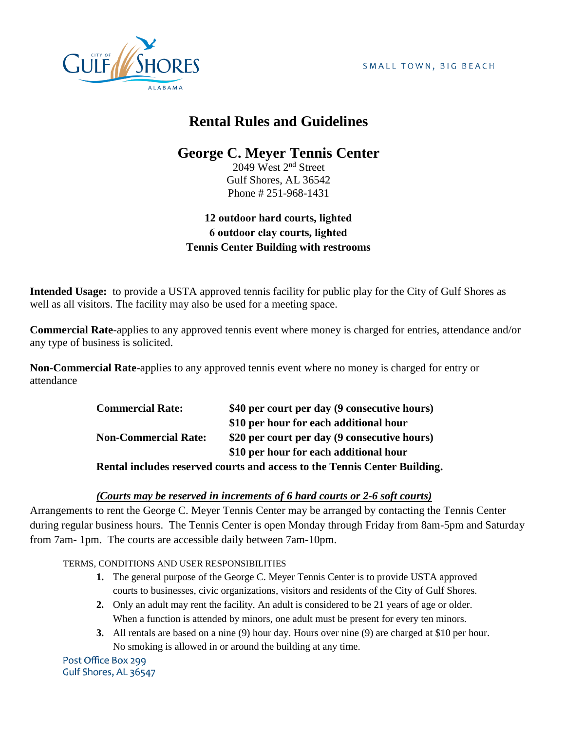SMALL TOWN, BIG BEACH



# **Rental Rules and Guidelines**

## **George C. Meyer Tennis Center**

2049 West 2nd Street Gulf Shores, AL 36542 Phone # 251-968-1431

## **12 outdoor hard courts, lighted 6 outdoor clay courts, lighted Tennis Center Building with restrooms**

**Intended Usage:** to provide a USTA approved tennis facility for public play for the City of Gulf Shores as well as all visitors. The facility may also be used for a meeting space.

**Commercial Rate**-applies to any approved tennis event where money is charged for entries, attendance and/or any type of business is solicited.

**Non-Commercial Rate**-applies to any approved tennis event where no money is charged for entry or attendance

| <b>Commercial Rate:</b>     | \$40 per court per day (9 consecutive hours)                             |  |
|-----------------------------|--------------------------------------------------------------------------|--|
|                             | \$10 per hour for each additional hour                                   |  |
| <b>Non-Commercial Rate:</b> | \$20 per court per day (9 consecutive hours)                             |  |
|                             | \$10 per hour for each additional hour                                   |  |
|                             | Dontol includes reserved courts and access to the Tennis Center Duilding |  |

**Rental includes reserved courts and access to the Tennis Center Building.**

### *(Courts may be reserved in increments of 6 hard courts or 2-6 soft courts)*

Arrangements to rent the George C. Meyer Tennis Center may be arranged by contacting the Tennis Center during regular business hours. The Tennis Center is open Monday through Friday from 8am-5pm and Saturday from 7am- 1pm. The courts are accessible daily between 7am-10pm.

#### TERMS, CONDITIONS AND USER RESPONSIBILITIES

- **1.** The general purpose of the George C. Meyer Tennis Center is to provide USTA approved courts to businesses, civic organizations, visitors and residents of the City of Gulf Shores.
- **2.** Only an adult may rent the facility. An adult is considered to be 21 years of age or older. When a function is attended by minors, one adult must be present for every ten minors.
- **3.** All rentals are based on a nine (9) hour day. Hours over nine (9) are charged at \$10 per hour. No smoking is allowed in or around the building at any time.

Post Office Box 299 Gulf Shores, AL 36547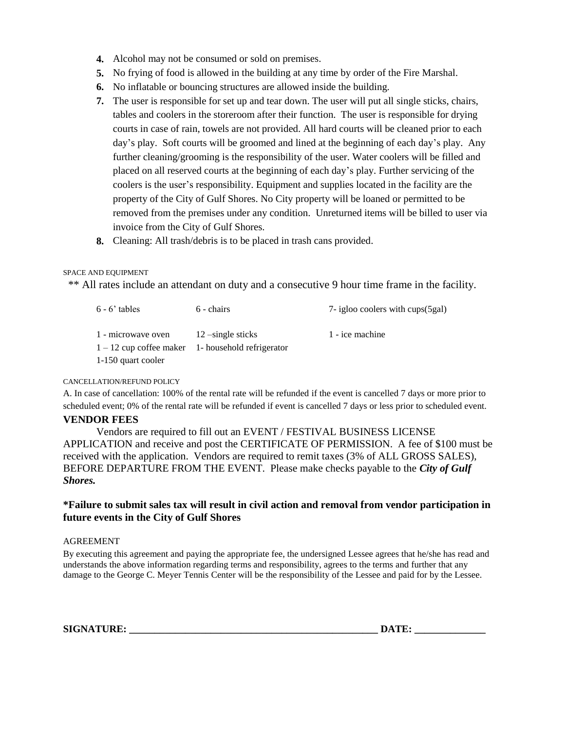- **4.** Alcohol may not be consumed or sold on premises.
- **5.** No frying of food is allowed in the building at any time by order of the Fire Marshal.
- **6.** No inflatable or bouncing structures are allowed inside the building.
- **7.** The user is responsible for set up and tear down. The user will put all single sticks, chairs, tables and coolers in the storeroom after their function. The user is responsible for drying courts in case of rain, towels are not provided. All hard courts will be cleaned prior to each day's play. Soft courts will be groomed and lined at the beginning of each day's play. Any further cleaning/grooming is the responsibility of the user. Water coolers will be filled and placed on all reserved courts at the beginning of each day's play. Further servicing of the coolers is the user's responsibility. Equipment and supplies located in the facility are the property of the City of Gulf Shores. No City property will be loaned or permitted to be removed from the premises under any condition. Unreturned items will be billed to user via invoice from the City of Gulf Shores.
- **8.** Cleaning: All trash/debris is to be placed in trash cans provided.

SPACE AND EQUIPMENT

\*\* All rates include an attendant on duty and a consecutive 9 hour time frame in the facility.

| $6 - 6$ ' tables   | 6 - chairs                                          | 7- igloo coolers with cups(5gal) |
|--------------------|-----------------------------------------------------|----------------------------------|
| 1 - microwave oven | $12$ -single sticks                                 | 1 - ice machine                  |
|                    | $1 - 12$ cup coffee maker 1- household refrigerator |                                  |
| 1-150 quart cooler |                                                     |                                  |

#### CANCELLATION/REFUND POLICY

A. In case of cancellation: 100% of the rental rate will be refunded if the event is cancelled 7 days or more prior to scheduled event; 0% of the rental rate will be refunded if event is cancelled 7 days or less prior to scheduled event.

#### **VENDOR FEES**

Vendors are required to fill out an EVENT / FESTIVAL BUSINESS LICENSE APPLICATION and receive and post the CERTIFICATE OF PERMISSION. A fee of \$100 must be received with the application. Vendors are required to remit taxes (3% of ALL GROSS SALES), BEFORE DEPARTURE FROM THE EVENT. Please make checks payable to the *City of Gulf Shores.*

#### **\*Failure to submit sales tax will result in civil action and removal from vendor participation in future events in the City of Gulf Shores**

#### AGREEMENT

By executing this agreement and paying the appropriate fee, the undersigned Lessee agrees that he/she has read and understands the above information regarding terms and responsibility, agrees to the terms and further that any damage to the George C. Meyer Tennis Center will be the responsibility of the Lessee and paid for by the Lessee.

**SIGNATURE: \_\_\_\_\_\_\_\_\_\_\_\_\_\_\_\_\_\_\_\_\_\_\_\_\_\_\_\_\_\_\_\_\_\_\_\_\_\_\_\_\_\_\_\_\_\_\_\_\_ DATE: \_\_\_\_\_\_\_\_\_\_\_\_\_\_**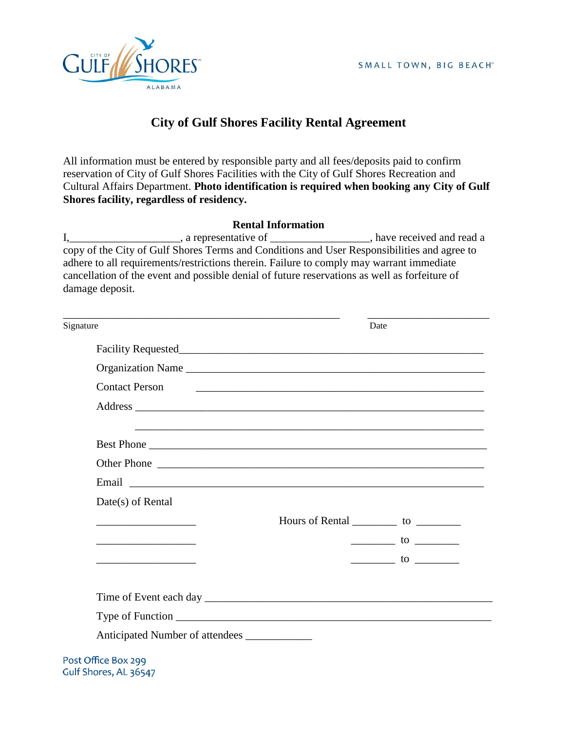

## **City of Gulf Shores Facility Rental Agreement**

All information must be entered by responsible party and all fees/deposits paid to confirm reservation of City of Gulf Shores Facilities with the City of Gulf Shores Recreation and Cultural Affairs Department. **Photo identification is required when booking any City of Gulf Shores facility, regardless of residency.** 

#### **Rental Information**

I, \_\_\_\_\_\_\_\_\_\_\_\_\_\_\_\_\_\_\_\_, a representative of \_\_\_\_\_\_\_\_\_\_\_\_\_\_\_\_\_\_\_\_, have received and read a copy of the City of Gulf Shores Terms and Conditions and User Responsibilities and agree to adhere to all requirements/restrictions therein. Failure to comply may warrant immediate cancellation of the event and possible denial of future reservations as well as forfeiture of damage deposit.

| Signature                                                   | Date                                                         |
|-------------------------------------------------------------|--------------------------------------------------------------|
|                                                             |                                                              |
| Organization Name                                           |                                                              |
| <b>Contact Person</b>                                       |                                                              |
|                                                             |                                                              |
| Best Phone                                                  |                                                              |
| Other Phone                                                 |                                                              |
|                                                             |                                                              |
| Date(s) of Rental                                           |                                                              |
| the control of the control of the control of the control of | Hours of Rental ___________ to _________                     |
|                                                             | $\frac{1}{1}$ to $\frac{1}{1}$                               |
|                                                             | $\frac{1}{\sqrt{1-\frac{1}{2}}}\left\{ \frac{1}{2} \right\}$ |
|                                                             |                                                              |
|                                                             |                                                              |
| Anticipated Number of attendees                             |                                                              |